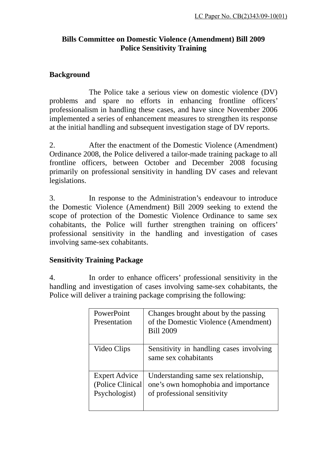# **Bills Committee on Domestic Violence (Amendment) Bill 2009 Police Sensitivity Training**

### **Background**

 The Police take a serious view on domestic violence (DV) problems and spare no efforts in enhancing frontline officers' professionalism in handling these cases, and have since November 2006 implemented a series of enhancement measures to strengthen its response at the initial handling and subsequent investigation stage of DV reports.

2. After the enactment of the Domestic Violence (Amendment) Ordinance 2008, the Police delivered a tailor-made training package to all frontline officers, between October and December 2008 focusing primarily on professional sensitivity in handling DV cases and relevant legislations.

3. In response to the Administration's endeavour to introduce the Domestic Violence (Amendment) Bill 2009 seeking to extend the scope of protection of the Domestic Violence Ordinance to same sex cohabitants, the Police will further strengthen training on officers' professional sensitivity in the handling and investigation of cases involving same-sex cohabitants.

#### **Sensitivity Training Package**

4. In order to enhance officers' professional sensitivity in the handling and investigation of cases involving same-sex cohabitants, the Police will deliver a training package comprising the following:

| PowerPoint<br>Presentation                                | Changes brought about by the passing<br>of the Domestic Violence (Amendment)<br><b>Bill 2009</b>           |
|-----------------------------------------------------------|------------------------------------------------------------------------------------------------------------|
| Video Clips                                               | Sensitivity in handling cases involving<br>same sex cohabitants                                            |
| <b>Expert Advice</b><br>(Police Clinical<br>Psychologist) | Understanding same sex relationship,<br>one's own homophobia and importance<br>of professional sensitivity |